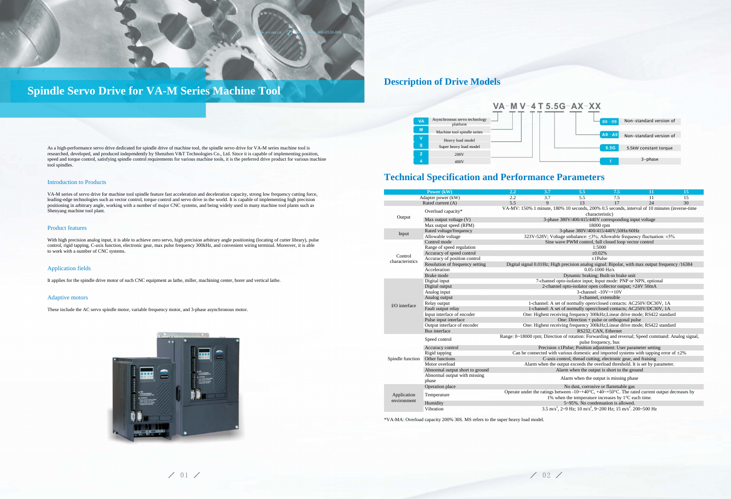

# **Spindle Servo Drive for VA-M Series Machine Tool**

As a high-performance servo drive dedicated for spindle drive of machine tool, the spindle servo drive for VA-M series machine tool is researched, developed, and produced independently by Shenzhen V&T Technologies Co., Ltd. Since it is capable of implementing position, speed and torque control, satisfying spindle control requirements for various machine tools, it is the preferred drive product for various machine tool spindles.

### Introduction to Products

VA-M series of servo drive for machine tool spindle feature fast acceleration and deceleration capacity, strong low frequency cutting force, leading-edge technologies such as vector control, torque control and servo drive in the world. It is capable of implementing high precision positioning in arbitrary angle, working with a number of major CNC systems, and being widely used in many machine tool plants such as Shenyang machine tool plant.

### Product features

With high precision analog input, it is able to achieve zero servo, high precision arbitrary angle positioning (locating of cutter library), pulse control, rigid tapping, C-axis function, electronic gear, max pulse frequency 300kHz, and convenient wiring terminal. Moreover, it is able to work with a number of CNC systems.

### Application fields

It applies for the spindle drive motor of such CNC equipment as lathe, miller, machining center, borer and vertical lathe.

### Adaptive motors

These include the AC servo spindle motor, variable frequency motor, and 3-phase asynchronous motor.



### **Description of Drive Models**



**Technical Specification and Performance Parameters**

|                            | Power (kW)                                                                       | 2.2                                                                                                                                       | 3.7          | 5.5       | 7.5                                                                 | 11 | 15 |  |  |  |
|----------------------------|----------------------------------------------------------------------------------|-------------------------------------------------------------------------------------------------------------------------------------------|--------------|-----------|---------------------------------------------------------------------|----|----|--|--|--|
|                            | Adapter power (kW)                                                               | 2.2                                                                                                                                       | 3.7          | 5.5       | 7.5                                                                 | 11 | 15 |  |  |  |
| Rated current (A)          |                                                                                  | 5.5                                                                                                                                       | $\mathbf{Q}$ | 13        | 17                                                                  | 24 | 30 |  |  |  |
| Output                     | Overload capacity*                                                               | VA-MV: 150% 1 minute, 180% 10 seconds, 200% 0.5 seconds, interval of 10 minutes (inverse-time<br>characteristic)                          |              |           |                                                                     |    |    |  |  |  |
|                            | Max output voltage (V)                                                           | 3-phase 380V/400/415/440V corresponding input voltage                                                                                     |              |           |                                                                     |    |    |  |  |  |
|                            | Max output speed (RPM)                                                           |                                                                                                                                           |              | 18000 rpm |                                                                     |    |    |  |  |  |
| Input                      | Rated voltage/frequency                                                          | 3-phase 380V/400/415/440V;50Hz/60Hz                                                                                                       |              |           |                                                                     |    |    |  |  |  |
|                            | Allowable voltage                                                                | 323V-528V; Voltage unbalance: <3%; Allowable frequency fluctuation: ±5%                                                                   |              |           |                                                                     |    |    |  |  |  |
|                            | Control mode                                                                     | Sine wave PWM control, full closed loop vector control                                                                                    |              |           |                                                                     |    |    |  |  |  |
| Control                    | Range of speed regulation                                                        | 1:5000                                                                                                                                    |              |           |                                                                     |    |    |  |  |  |
|                            | Accuracy of speed control                                                        | $\pm 0.02\%$                                                                                                                              |              |           |                                                                     |    |    |  |  |  |
| characteristics            | Accuracy of position control                                                     | $\pm 1$ Pulse                                                                                                                             |              |           |                                                                     |    |    |  |  |  |
|                            | Resolution of frequency setting                                                  | Digital signal 0.01Hz; High precision analog signal: Bipolar, with max output frequency /16384                                            |              |           |                                                                     |    |    |  |  |  |
|                            | Acceleration                                                                     | $0.05 - 1000$ Hz/s                                                                                                                        |              |           |                                                                     |    |    |  |  |  |
|                            | Brake mode                                                                       |                                                                                                                                           |              |           | Dynamic braking; Built-in brake unit                                |    |    |  |  |  |
|                            | 7-channel opto-isolator input; Input mode: PNP or NPN, optional<br>Digital input |                                                                                                                                           |              |           |                                                                     |    |    |  |  |  |
|                            | Digital output                                                                   | 2-channel opto-isolator open collector output; +24V 50mA                                                                                  |              |           |                                                                     |    |    |  |  |  |
|                            | Analog input                                                                     | 3-channel: $-10V \rightarrow +10V$                                                                                                        |              |           |                                                                     |    |    |  |  |  |
|                            | Analog output                                                                    | 3-channel, extensible                                                                                                                     |              |           |                                                                     |    |    |  |  |  |
| $IO$ interface             | Relay output                                                                     | 1-channel: A set of normally open/closed contacts: AC250V/DC30V, 1A                                                                       |              |           |                                                                     |    |    |  |  |  |
|                            | Fault output relay                                                               | 1-channel: A set of normally open/closed contacts; AC250V/DC30V, 1A                                                                       |              |           |                                                                     |    |    |  |  |  |
|                            | Input interface of encoder                                                       | One: Highest receiving frequency 300kHz; Linear drive mode; RS422 standard                                                                |              |           |                                                                     |    |    |  |  |  |
|                            | Pulse input interface                                                            | One: Direction $+$ pulse or orthogonal pulse                                                                                              |              |           |                                                                     |    |    |  |  |  |
|                            | Output interface of encoder                                                      | One: Highest receiving frequency 300kHz; Linear drive mode; RS422 standard                                                                |              |           |                                                                     |    |    |  |  |  |
|                            | Bus interface                                                                    | RS232, CAN, Ethernet                                                                                                                      |              |           |                                                                     |    |    |  |  |  |
|                            | Speed control                                                                    | Range: 0~18000 rpm; Direction of rotation: Forwarding and reversal; Speed command: Analog signal,<br>pulse frequency, bus                 |              |           |                                                                     |    |    |  |  |  |
|                            | Accuracy control                                                                 |                                                                                                                                           |              |           | Precision $\pm$ 1Pulse; Position adjustment: User parameter setting |    |    |  |  |  |
|                            | Rigid tapping                                                                    | Can be connected with various domestic and imported systems with tapping error of $\pm 2\%$                                               |              |           |                                                                     |    |    |  |  |  |
| Spindle function           | Other functions                                                                  | C-axis control, thread cutting, electronic gear, and fraising                                                                             |              |           |                                                                     |    |    |  |  |  |
|                            | Motor overload                                                                   | Alarm when the output exceeds the overload threshold. It is set by parameter.                                                             |              |           |                                                                     |    |    |  |  |  |
|                            | Abnormal output short to ground                                                  | Alarm when the output is short to the ground                                                                                              |              |           |                                                                     |    |    |  |  |  |
|                            | Abnormal output with missing<br>phase                                            | Alarm when the output is missing phase                                                                                                    |              |           |                                                                     |    |    |  |  |  |
| Application<br>environment | Operation place                                                                  |                                                                                                                                           |              |           | No dust, corrosive or flammable gas                                 |    |    |  |  |  |
|                            |                                                                                  | Operate under the ratings between $-10 \rightarrow +40^{\circ}C$ , $+40 \rightarrow +50^{\circ}C$ . The rated current output decreases by |              |           |                                                                     |    |    |  |  |  |
|                            | Temperature                                                                      | 1% when the temperature increases by $1^{\circ}$ C each time.                                                                             |              |           |                                                                     |    |    |  |  |  |
|                            | Humidity                                                                         | 5~95%. No condensation is allowed.                                                                                                        |              |           |                                                                     |    |    |  |  |  |
|                            | Vibration                                                                        | 3.5 m/s <sup>2</sup> , 2~9 Hz; 10 m/s <sup>2</sup> , 9~200 Hz; 15 m/s <sup>2</sup> , 200~500 Hz                                           |              |           |                                                                     |    |    |  |  |  |
|                            |                                                                                  |                                                                                                                                           |              |           |                                                                     |    |    |  |  |  |

\*VA-MA: Overload capacity 200% 30S. MS refers to the super heavy load model.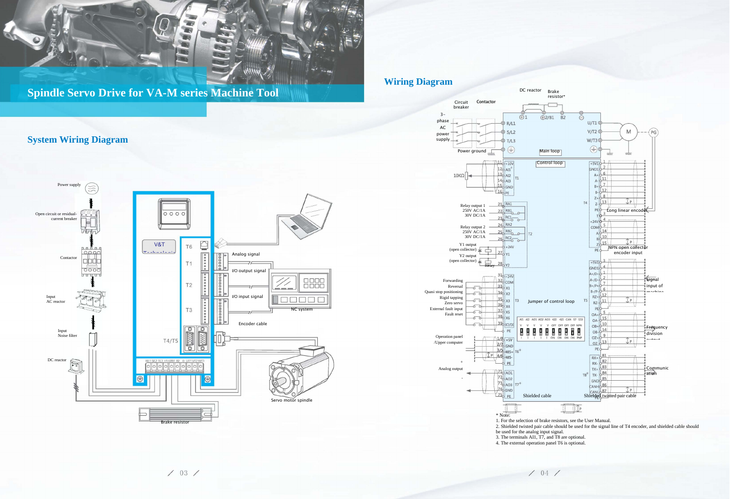

**Spindle Servo Drive for VA-M series Machine Tool**

## **System Wiring Diagram**

### **Wiring Diagram**



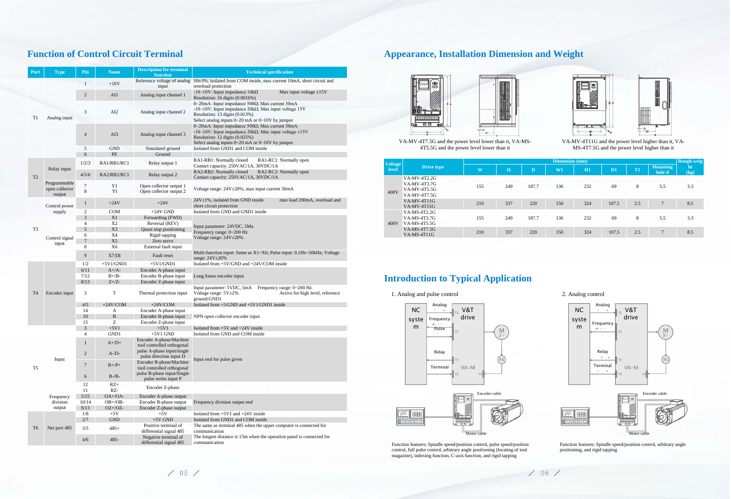## **Function of Control Circuit Terminal**

| Port           | <b>Type</b>                              | Pin                 | <b>Name</b>          | <b>Description for terminal</b><br>function                                         | <b>Technical specification</b>                                                                                                                                                                                                  |  |  |  |
|----------------|------------------------------------------|---------------------|----------------------|-------------------------------------------------------------------------------------|---------------------------------------------------------------------------------------------------------------------------------------------------------------------------------------------------------------------------------|--|--|--|
|                |                                          | 1                   | $+10V$               |                                                                                     | Reference voltage of analog 10±3%, isolated from COM inside, max current 10mA, short circuit and                                                                                                                                |  |  |  |
|                | Analog input                             | $\overline{c}$      | AI1                  | input<br>Analog input channel 1                                                     | overload protection<br>-10~10V: Input impedance $14k\Omega$<br>Max input voltage $\pm 15V$<br>Resolution: 16 digits (0.0016%)                                                                                                   |  |  |  |
| T1             |                                          | 3                   | AI <sub>2</sub>      | Analog input channel 2                                                              | 0~20mA: Input impedance 500 $\Omega$ ; Max current 30mA<br>-10~10V: Input impedance 20 $k\Omega$ ; Max input voltage 15V<br>Resolution: 13 digits (0.013%)<br>Select analog inputs 0~20 mA or 0~10V by jumper                   |  |  |  |
|                |                                          | $\overline{4}$      | AI3                  | Analog input channel 3                                                              | 0~20mA: Input impedance 500 $\Omega$ ; Max current 30mA<br>-10~10V: Input impedance 20k $\Omega$ ; Max input voltage ±15V<br>Resolution: 12 digits $(0.025\%)$<br>Select analog inputs $0 \sim 20$ mA or $0 \sim 10V$ by jumper |  |  |  |
|                |                                          | 5                   | <b>GND</b>           | Simulated ground                                                                    | Isolated from GND1 and COM inside                                                                                                                                                                                               |  |  |  |
|                |                                          | 6                   | PE                   | Ground                                                                              |                                                                                                                                                                                                                                 |  |  |  |
|                | Relay input                              | 1/2/3               | RA1/RB1/RC1          | Relay output 1                                                                      | RA1-RB1: Normally closed<br>RA1-RC1: Normally open<br>Contact capacity: 250VAC/1A, 30VDC/1A                                                                                                                                     |  |  |  |
| T <sub>2</sub> |                                          | 4/5/6               | RA2/RB2/RC1          | Relay output 2                                                                      | RA2-RB2: Normally closed<br>RA2-RC2: Normally open<br>Contact capacity: 250VAC/1A, 30VDC/1A                                                                                                                                     |  |  |  |
|                | Programmable<br>open collector<br>output | $\overline{7}$<br>8 | Y <sub>1</sub><br>YI | Open collector output 1<br>Open collector output 2                                  | Voltage range: 24V±20%, max input current 50mA                                                                                                                                                                                  |  |  |  |
|                | Control power                            | $\mathbf{1}$        | $+24V$               | $+24V$                                                                              | $24V \pm 1\%$ , isolated from GND inside<br>max load 200mA, overload and<br>short circuit protection                                                                                                                            |  |  |  |
|                | supply                                   | $\boldsymbol{2}$    | COM                  | $+24V$ GND                                                                          | Isolated from GND and GND1 inside                                                                                                                                                                                               |  |  |  |
|                |                                          | 3                   | X1                   | Forwarding (FWD)                                                                    |                                                                                                                                                                                                                                 |  |  |  |
|                | Control signal<br>input                  | $\overline{4}$      | X <sub>2</sub>       | Reversal (REV)                                                                      |                                                                                                                                                                                                                                 |  |  |  |
| T <sub>3</sub> |                                          | 5                   | X3                   | Quasi stop positioning                                                              | Input parameter: 24VDC, 5Ma                                                                                                                                                                                                     |  |  |  |
|                |                                          | 6                   | X4                   | Rigid tapping                                                                       | Frequency range: 0~200 Hz<br>Voltage range: $24V \pm 20\%$                                                                                                                                                                      |  |  |  |
|                |                                          | $\overline{7}$      | X <sub>5</sub>       | Zero servo                                                                          |                                                                                                                                                                                                                                 |  |  |  |
|                |                                          | 8                   | X6                   | External fault input                                                                |                                                                                                                                                                                                                                 |  |  |  |
|                |                                          | 9                   | X7/DI                | Fault reset                                                                         | Multi-function input: Same as X1~X6; Pulse input: 0.1Hz~50kHz; Voltage<br>range: $24V \pm 20%$                                                                                                                                  |  |  |  |
|                |                                          | 1/2                 | $+5V1/GND1$          | $+5V1/GND1$                                                                         | Isolated from $+5V/GND$ and $+24V/COM$ inside                                                                                                                                                                                   |  |  |  |
|                |                                          | 6/11                | $A+/A-$              | Encoder A-phase input                                                               |                                                                                                                                                                                                                                 |  |  |  |
|                |                                          | 7/12                | $B+/B-$              | Encoder B-phase input                                                               | Long linear encoder input                                                                                                                                                                                                       |  |  |  |
|                |                                          | 8/13                | $Z+/Z-$              | Encoder Z-phase input                                                               |                                                                                                                                                                                                                                 |  |  |  |
| T <sub>4</sub> | Encoder input                            | 3                   | T                    | Thermal protection input                                                            | Input parameter: 5VDC, 5mA<br>Frequency range: 0~200 Hz<br>Voltage range: 5V±2%<br>Active for high level, reference<br>ground:GND1                                                                                              |  |  |  |
|                |                                          | 4/5                 | $+24$ V/COM          | $+24V/COM$                                                                          | Isolated from +5/GND and +5V1/GND1 inside                                                                                                                                                                                       |  |  |  |
|                |                                          | 14                  | A                    | Encoder A-phase input                                                               |                                                                                                                                                                                                                                 |  |  |  |
|                |                                          | 10                  | $\, {\bf B}$         | Encoder B-phase input                                                               | NPN open collector encoder input                                                                                                                                                                                                |  |  |  |
|                |                                          | 15                  | Z                    | Encoder Z-phase input                                                               |                                                                                                                                                                                                                                 |  |  |  |
|                |                                          | 3                   | $+5V1$               | $+5V1$                                                                              | Isolated from $+5V$ and $+24V$ inside                                                                                                                                                                                           |  |  |  |
|                |                                          | 4                   | GND1                 | $+5V1$ GND                                                                          | Isolated from GND and COM inside                                                                                                                                                                                                |  |  |  |
|                | Input                                    | $\mathbf{1}$        | $A+/D+$              | Encoder A-phase/Machine<br>tool controlled orthogonal<br>pulse A-phase input/single |                                                                                                                                                                                                                                 |  |  |  |
|                |                                          | 2                   | $A$ -/ $D$ -         | pulse direction input D<br>Encoder B-phase/Machine                                  | Input end for pulse given                                                                                                                                                                                                       |  |  |  |
| T <sub>5</sub> |                                          | 7                   | $B+/P+$              | tool controlled orthogonal<br>pulse B-phase input/Single                            |                                                                                                                                                                                                                                 |  |  |  |
|                |                                          | 6                   | $B-A-B-$             | pulse series input P                                                                |                                                                                                                                                                                                                                 |  |  |  |
|                | Frequency<br>division<br>output          | 12<br>11            | $RZ+$<br>RZ-         | Encoder Z-phase                                                                     |                                                                                                                                                                                                                                 |  |  |  |
|                |                                          | 5/15                | $OA+ /OA-$           | Encoder A-phase output                                                              |                                                                                                                                                                                                                                 |  |  |  |
|                |                                          | 10/14               | $OB + /OB -$         | Encoder B-phase output                                                              | Frequency division output end                                                                                                                                                                                                   |  |  |  |
|                |                                          | 9/13                | $OZ + /OZ$ -         | Encoder Z-phase output                                                              |                                                                                                                                                                                                                                 |  |  |  |
|                |                                          | 1/8                 | $+5V$                | $+5V$                                                                               | Isolated from $+5V1$ and $+24V$ inside                                                                                                                                                                                          |  |  |  |
| T <sub>6</sub> | Net port 485                             | 2/7                 | <b>GND</b>           | $+5V$ GND                                                                           | Isolated from GND1 and COM inside                                                                                                                                                                                               |  |  |  |
|                |                                          | 3/5                 | $485+$               | Positive terminal of<br>differential signal 485                                     | The same as terminal 485 when the upper computer is connected for<br>communication                                                                                                                                              |  |  |  |
|                |                                          | 4/6                 | $485 -$              | Negative terminal of<br>differential signal 485                                     | The longest distance is 15m when the operation panel is connected for<br>communication                                                                                                                                          |  |  |  |

## **Appearance, Installation Dimension and Weight**



VA-MV-4T7.5G and the power level lower than it, VA-MS-4T5.5G and the power level lower than it



VA-MV-4T11G and the power level higher than it, VA-MS-4T7.5G and the power level higher than it

| <b>Voltage</b><br>level | Drive type                                                          | <b>Dimension</b> (mm) |     |       |     |     |                |     |                           | <b>Rough weig</b> |
|-------------------------|---------------------------------------------------------------------|-----------------------|-----|-------|-----|-----|----------------|-----|---------------------------|-------------------|
|                         |                                                                     | $\mathbf{W}$          | H   | D     | W1  | H1  | D <sub>1</sub> | T1  | <b>Mounting</b><br>hole d | ht<br>(kg)        |
| 400V                    | <b>VA-MV-4T2.2G</b><br>VA-MV-4T3.7G<br>VA-MV-4T5.5G<br>VA-MV-4T7.5G | 155                   | 249 | 187.7 | 136 | 232 | 69             | 8   | 5.5                       | 3.3               |
|                         | $VA-MV-4T11G$<br>VA-MV-4T15G                                        | 210                   | 337 | 220   | 150 | 324 | 107.5          | 2.5 | $\overline{7}$            | 8.5               |
| 400V                    | VA-MS-4T2.2G<br>VA-MS-4T3.7G<br>VA-MS-4T5.5G                        | 155                   | 249 | 187.7 | 136 | 232 | 69             | 8   | 5.5                       | 3.3               |
|                         | VA-MS-4T7.5G<br>VA-MS-4T11G                                         | 210                   | 337 | 220   | 150 | 324 | 107.5          | 2.5 | $\overline{7}$            | 8.5               |

## **Introduction to Typical Application**

1. Analog and pulse control 2. Analog control

Function features: Spindle speed/position control, pulse speed/position control, full pulse control, arbitrary angle positioning (locating of tool magazine), indexing function, C-axis function, and rigid tapping

 $/05/$ 



Function features: Spindle speed/position control, arbitrary angle positioning, and rigid tapping